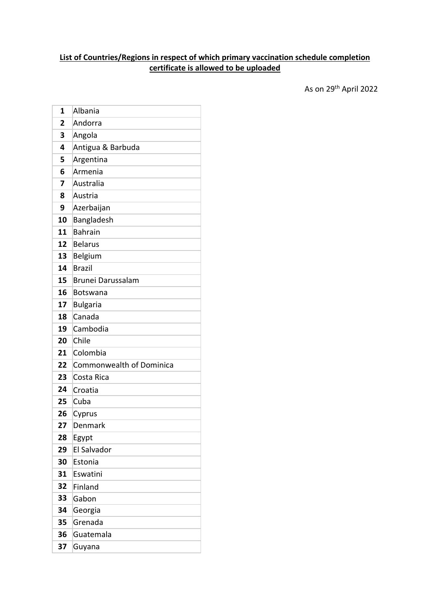## **List of Countries/Regions in respect of which primary vaccination schedule completion certificate is allowed to be uploaded**

As on 29 th April 2022

| 1  | Albania                         |
|----|---------------------------------|
| 2  | Andorra                         |
| 3  | Angola                          |
| 4  | Antigua & Barbuda               |
| 5  | Argentina                       |
| 6  | Armenia                         |
| 7  | Australia                       |
| 8  | Austria                         |
| 9  | Azerbaijan                      |
| 10 | Bangladesh                      |
| 11 | <b>Bahrain</b>                  |
| 12 | <b>Belarus</b>                  |
| 13 | Belgium                         |
| 14 | <b>Brazil</b>                   |
| 15 | Brunei Darussalam               |
| 16 | <b>Botswana</b>                 |
| 17 | <b>Bulgaria</b>                 |
| 18 | Canada                          |
| 19 | Cambodia                        |
| 20 | Chile                           |
| 21 | Colombia                        |
| 22 | <b>Commonwealth of Dominica</b> |
| 23 | Costa Rica                      |
| 24 | Croatia                         |
| 25 | Cuba                            |
| 26 | Cyprus                          |
| 27 | Denmark                         |
| 28 | Egypt                           |
| 29 | El Salvador                     |
| 30 | Estonia                         |
| 31 | Eswatini                        |
| 32 | Finland                         |
| 33 | Gabon                           |
| 34 | Georgia                         |
| 35 | Grenada                         |
| 36 | Guatemala                       |
| 37 | Guyana                          |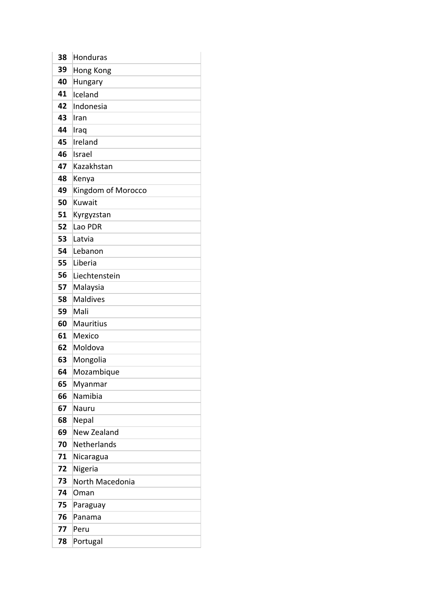| 38 | Honduras           |
|----|--------------------|
| 39 | Hong Kong          |
| 40 | Hungary            |
| 41 | Iceland            |
| 42 | Indonesia          |
| 43 | Iran               |
| 44 | Iraq               |
| 45 | Ireland            |
| 46 | Israel             |
| 47 | Kazakhstan         |
| 48 | Kenya              |
| 49 | Kingdom of Morocco |
| 50 | Kuwait             |
| 51 | Kyrgyzstan         |
| 52 | Lao PDR            |
| 53 | Latvia             |
| 54 | Lebanon            |
| 55 | Liberia            |
| 56 | Liechtenstein      |
| 57 | Malaysia           |
| 58 | <b>Maldives</b>    |
| 59 | Mali               |
| 60 | <b>Mauritius</b>   |
| 61 | Mexico             |
| 62 | Moldova            |
| 63 | Mongolia           |
| 64 | Mozambique         |
| 65 | Myanmar            |
| 66 | Namibia            |
| 67 | Nauru              |
| 68 | Nepal              |
| 69 | New Zealand        |
| 70 | <b>Netherlands</b> |
| 71 | Nicaragua          |
| 72 | Nigeria            |
| 73 | North Macedonia    |
| 74 | Oman               |
| 75 | Paraguay           |
| 76 | Panama             |
| 77 | Peru               |
| 78 | Portugal           |